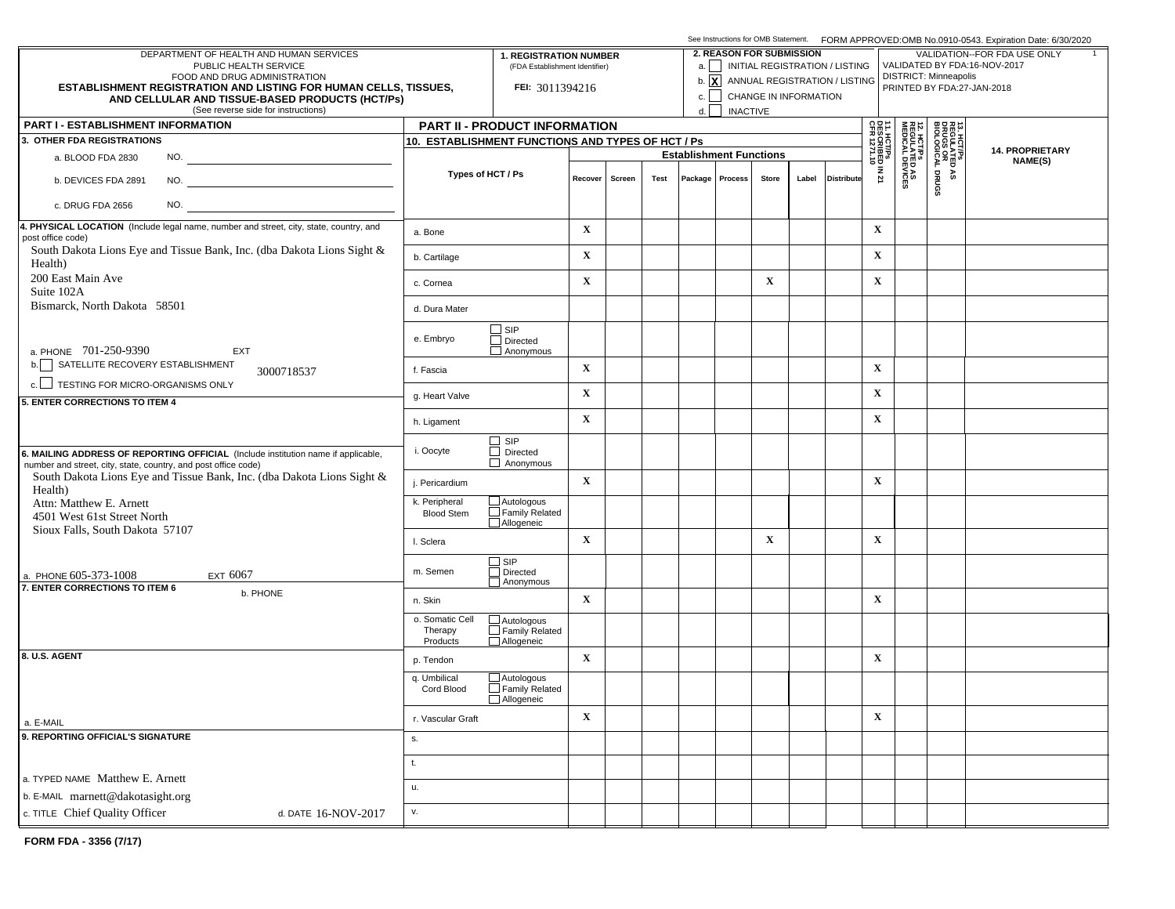|                                                                                                                                                     |                                    |                                                   |                                |      |                                |                                 |             | See Instructions for OMB Statement. FORM APPROVED:OMB No.0910-0543. Expiration Date: 6/30/2020 |                                                              |                                             |                                                        |                                                     |                                   |  |  |  |  |  |
|-----------------------------------------------------------------------------------------------------------------------------------------------------|------------------------------------|---------------------------------------------------|--------------------------------|------|--------------------------------|---------------------------------|-------------|------------------------------------------------------------------------------------------------|--------------------------------------------------------------|---------------------------------------------|--------------------------------------------------------|-----------------------------------------------------|-----------------------------------|--|--|--|--|--|
| DEPARTMENT OF HEALTH AND HUMAN SERVICES<br>PUBLIC HEALTH SERVICE                                                                                    | <b>1. REGISTRATION NUMBER</b>      |                                                   |                                |      |                                | <b>2. REASON FOR SUBMISSION</b> |             | a.     INITIAL REGISTRATION / LISTING                                                          | VALIDATION--FOR FDA USE ONLY<br>VALIDATED BY FDA:16-NOV-2017 |                                             |                                                        |                                                     |                                   |  |  |  |  |  |
| FOOD AND DRUG ADMINISTRATION                                                                                                                        |                                    |                                                   | (FDA Establishment Identifier) |      |                                |                                 |             |                                                                                                | b. $\boxed{\mathbf{X}}$ ANNUAL REGISTRATION / LISTING        | <b>DISTRICT: Minneapolis</b>                |                                                        |                                                     |                                   |  |  |  |  |  |
| <b>ESTABLISHMENT REGISTRATION AND LISTING FOR HUMAN CELLS, TISSUES,</b><br>AND CELLULAR AND TISSUE-BASED PRODUCTS (HCT/Ps)                          |                                    | FEI: 3011394216                                   | $c.$                           |      | CHANGE IN INFORMATION          |                                 |             | PRINTED BY FDA:27-JAN-2018                                                                     |                                                              |                                             |                                                        |                                                     |                                   |  |  |  |  |  |
| (See reverse side for instructions)                                                                                                                 |                                    | d.                                                | <b>INACTIVE</b>                |      |                                |                                 |             |                                                                                                |                                                              |                                             |                                                        |                                                     |                                   |  |  |  |  |  |
| <b>PART I - ESTABLISHMENT INFORMATION</b>                                                                                                           |                                    | PART II - PRODUCT INFORMATION                     |                                |      |                                |                                 |             | 읇름│                                                                                            |                                                              |                                             |                                                        |                                                     |                                   |  |  |  |  |  |
| 3. OTHER FDA REGISTRATIONS                                                                                                                          |                                    | 10. ESTABLISHMENT FUNCTIONS AND TYPES OF HCT / Ps |                                |      |                                |                                 |             |                                                                                                |                                                              |                                             |                                                        | 13. HCT/PS<br>REGULATED<br>DRUGS OR<br>BIOLOGICAL I |                                   |  |  |  |  |  |
| NO.<br>a. BLOOD FDA 2830                                                                                                                            |                                    |                                                   |                                |      | <b>Establishment Functions</b> |                                 |             |                                                                                                |                                                              |                                             |                                                        |                                                     | <b>14. PROPRIETARY</b><br>NAME(S) |  |  |  |  |  |
| b. DEVICES FDA 2891                                                                                                                                 | Types of HCT / Ps                  |                                                   | Recover<br>Screen              | Test |                                | Package   Process               | Store       | Label                                                                                          | <b>Distribute</b>                                            | 1. HCT/Ps<br> ESCRIBED IN 21<br> FR 1271.10 | <b>12. HCT/Ps<br/>REGULATED AS<br/>MEDICAL DEVICES</b> | DRUGS<br>۵À                                         |                                   |  |  |  |  |  |
| NO.<br>c. DRUG FDA 2656                                                                                                                             |                                    |                                                   |                                |      |                                |                                 |             |                                                                                                |                                                              |                                             |                                                        |                                                     |                                   |  |  |  |  |  |
| 4. PHYSICAL LOCATION (Include legal name, number and street, city, state, country, and                                                              | a. Bone                            |                                                   | $\mathbf X$                    |      |                                |                                 |             |                                                                                                |                                                              | $\mathbf X$                                 |                                                        |                                                     |                                   |  |  |  |  |  |
| post office code)<br>South Dakota Lions Eye and Tissue Bank, Inc. (dba Dakota Lions Sight &                                                         |                                    |                                                   | $\mathbf X$                    |      |                                |                                 |             |                                                                                                |                                                              | $\mathbf{X}$                                |                                                        |                                                     |                                   |  |  |  |  |  |
| Health)                                                                                                                                             | b. Cartilage                       |                                                   |                                |      |                                |                                 |             |                                                                                                |                                                              |                                             |                                                        |                                                     |                                   |  |  |  |  |  |
| 200 East Main Ave<br>Suite 102A                                                                                                                     | c. Cornea                          |                                                   | $\mathbf X$                    |      |                                |                                 | $\mathbf X$ |                                                                                                |                                                              | $\mathbf X$                                 |                                                        |                                                     |                                   |  |  |  |  |  |
| Bismarck, North Dakota 58501                                                                                                                        | d. Dura Mater                      |                                                   |                                |      |                                |                                 |             |                                                                                                |                                                              |                                             |                                                        |                                                     |                                   |  |  |  |  |  |
|                                                                                                                                                     | e. Embryo                          | $\square$ SIP<br>$\Box$ Directed                  |                                |      |                                |                                 |             |                                                                                                |                                                              |                                             |                                                        |                                                     |                                   |  |  |  |  |  |
| a. PHONE 701-250-9390<br>EXT                                                                                                                        |                                    | Anonymous                                         |                                |      |                                |                                 |             |                                                                                                |                                                              |                                             |                                                        |                                                     |                                   |  |  |  |  |  |
| b. SATELLITE RECOVERY ESTABLISHMENT<br>3000718537<br>c. TESTING FOR MICRO-ORGANISMS ONLY                                                            | f. Fascia                          |                                                   | $\mathbf X$                    |      |                                |                                 |             |                                                                                                |                                                              | $\mathbf X$                                 |                                                        |                                                     |                                   |  |  |  |  |  |
| 5. ENTER CORRECTIONS TO ITEM 4                                                                                                                      | g. Heart Valve                     |                                                   | $\mathbf X$                    |      |                                |                                 |             |                                                                                                |                                                              | $\mathbf X$                                 |                                                        |                                                     |                                   |  |  |  |  |  |
|                                                                                                                                                     | h. Ligament                        |                                                   | $\mathbf X$                    |      |                                |                                 |             |                                                                                                |                                                              | $\mathbf X$                                 |                                                        |                                                     |                                   |  |  |  |  |  |
|                                                                                                                                                     |                                    | $\Box$ SIP<br>$\Box$ Directed                     |                                |      |                                |                                 |             |                                                                                                |                                                              |                                             |                                                        |                                                     |                                   |  |  |  |  |  |
| 6. MAILING ADDRESS OF REPORTING OFFICIAL (Include institution name if applicable,<br>number and street, city, state, country, and post office code) | i. Oocyte                          | $\Box$ Anonymous                                  |                                |      |                                |                                 |             |                                                                                                |                                                              |                                             |                                                        |                                                     |                                   |  |  |  |  |  |
| South Dakota Lions Eye and Tissue Bank, Inc. (dba Dakota Lions Sight &<br>Health)                                                                   | j. Pericardium                     |                                                   | $\mathbf X$                    |      |                                |                                 |             |                                                                                                |                                                              | $\mathbf X$                                 |                                                        |                                                     |                                   |  |  |  |  |  |
| Attn: Matthew E. Arnett                                                                                                                             | k. Peripheral<br><b>Blood Stem</b> | $\Box$ Autologous<br>$\Box$ Family Related        |                                |      |                                |                                 |             |                                                                                                |                                                              |                                             |                                                        |                                                     |                                   |  |  |  |  |  |
| 4501 West 61st Street North<br>Sioux Falls, South Dakota 57107                                                                                      |                                    | Allogeneic                                        |                                |      |                                |                                 |             |                                                                                                |                                                              |                                             |                                                        |                                                     |                                   |  |  |  |  |  |
|                                                                                                                                                     | I. Sclera                          |                                                   | $\mathbf X$                    |      |                                |                                 | $\mathbf X$ |                                                                                                |                                                              | $\mathbf X$                                 |                                                        |                                                     |                                   |  |  |  |  |  |
|                                                                                                                                                     | m. Semen                           | $\Box$ SIP<br>Directed                            |                                |      |                                |                                 |             |                                                                                                |                                                              |                                             |                                                        |                                                     |                                   |  |  |  |  |  |
| a. PHONE 605-373-1008<br>EXT 6067<br>7. ENTER CORRECTIONS TO ITEM 6                                                                                 |                                    | Anonymous                                         |                                |      |                                |                                 |             |                                                                                                |                                                              |                                             |                                                        |                                                     |                                   |  |  |  |  |  |
| b. PHONE                                                                                                                                            | n. Skin                            |                                                   | $\mathbf X$                    |      |                                |                                 |             |                                                                                                |                                                              | $\mathbf X$                                 |                                                        |                                                     |                                   |  |  |  |  |  |
|                                                                                                                                                     | o. Somatic Cell<br>Therapy         | $\Box$ Autologous<br>Family Related               |                                |      |                                |                                 |             |                                                                                                |                                                              |                                             |                                                        |                                                     |                                   |  |  |  |  |  |
|                                                                                                                                                     | Products                           | Allogeneic                                        |                                |      |                                |                                 |             |                                                                                                |                                                              |                                             |                                                        |                                                     |                                   |  |  |  |  |  |
| 8. U.S. AGENT                                                                                                                                       | p. Tendon                          |                                                   | $\mathbf X$                    |      |                                |                                 |             |                                                                                                |                                                              | $\mathbf X$                                 |                                                        |                                                     |                                   |  |  |  |  |  |
|                                                                                                                                                     | q. Umbilical<br>Cord Blood         | $\Box$ Autologous<br>Family Related<br>Allogeneic |                                |      |                                |                                 |             |                                                                                                |                                                              |                                             |                                                        |                                                     |                                   |  |  |  |  |  |
| a. E-MAIL                                                                                                                                           | r. Vascular Graft                  |                                                   | X                              |      |                                |                                 |             |                                                                                                |                                                              | $\mathbf X$                                 |                                                        |                                                     |                                   |  |  |  |  |  |
| 9. REPORTING OFFICIAL'S SIGNATURE                                                                                                                   | s.                                 |                                                   |                                |      |                                |                                 |             |                                                                                                |                                                              |                                             |                                                        |                                                     |                                   |  |  |  |  |  |
|                                                                                                                                                     | t.                                 |                                                   |                                |      |                                |                                 |             |                                                                                                |                                                              |                                             |                                                        |                                                     |                                   |  |  |  |  |  |
| a. TYPED NAME Matthew E. Arnett                                                                                                                     | u.                                 |                                                   |                                |      |                                |                                 |             |                                                                                                |                                                              |                                             |                                                        |                                                     |                                   |  |  |  |  |  |
| b. E-MAIL marnett@dakotasight.org                                                                                                                   |                                    |                                                   |                                |      |                                |                                 |             |                                                                                                |                                                              |                                             |                                                        |                                                     |                                   |  |  |  |  |  |
| c. TITLE Chief Quality Officer<br>d. DATE 16-NOV-2017                                                                                               | v.                                 |                                                   |                                |      |                                |                                 |             |                                                                                                |                                                              |                                             |                                                        |                                                     |                                   |  |  |  |  |  |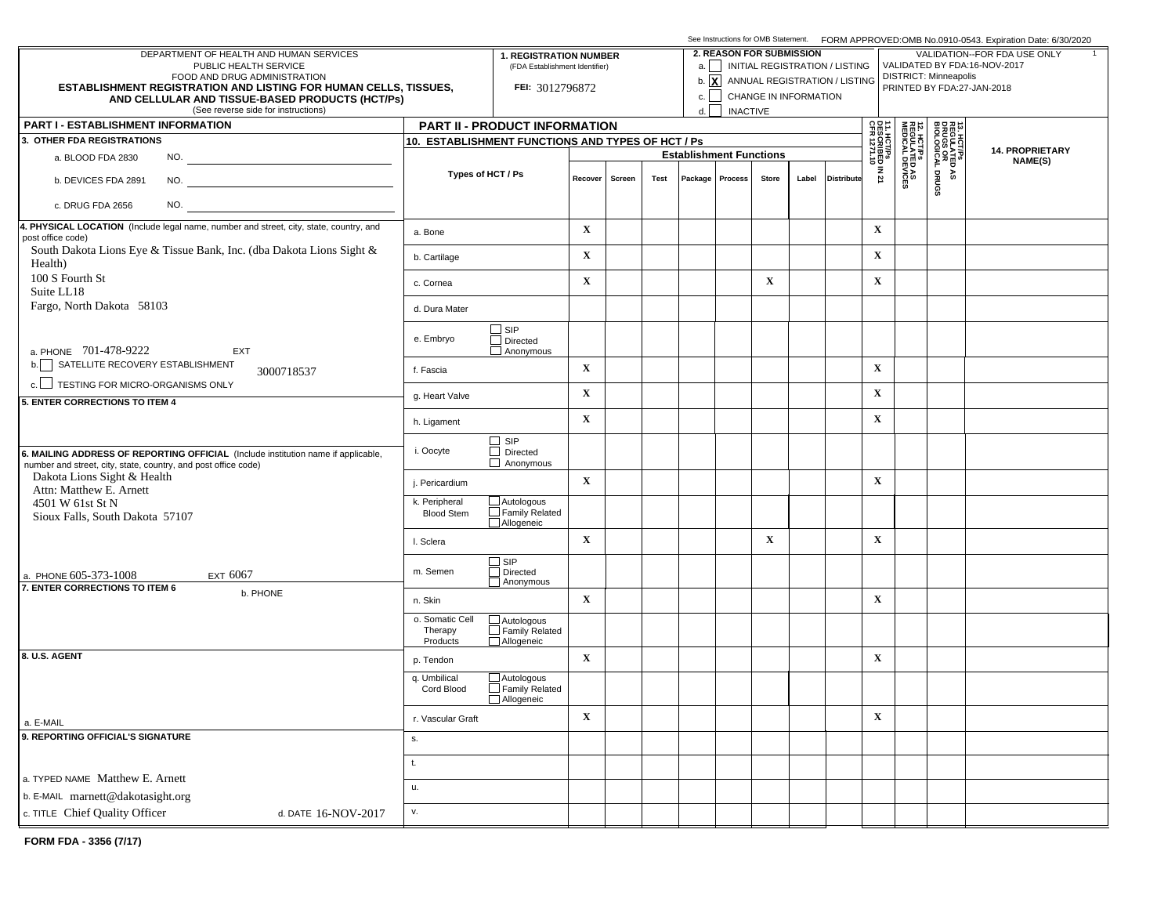|                                                                                                                                                     |                                                                 | See Instructions for OMB Statement. FORM APPROVED:OMB No.0910-0543. Expiration Date: 6/30/2020 |                 |                                 |                                |       |                                       |                                                              |                                                       |                                                        |                                                     |                              |                            |
|-----------------------------------------------------------------------------------------------------------------------------------------------------|-----------------------------------------------------------------|------------------------------------------------------------------------------------------------|-----------------|---------------------------------|--------------------------------|-------|---------------------------------------|--------------------------------------------------------------|-------------------------------------------------------|--------------------------------------------------------|-----------------------------------------------------|------------------------------|----------------------------|
| DEPARTMENT OF HEALTH AND HUMAN SERVICES<br>PUBLIC HEALTH SERVICE                                                                                    | <b>1. REGISTRATION NUMBER</b><br>(FDA Establishment Identifier) |                                                                                                |                 | <b>2. REASON FOR SUBMISSION</b> |                                |       | a.     INITIAL REGISTRATION / LISTING | VALIDATION--FOR FDA USE ONLY<br>VALIDATED BY FDA:16-NOV-2017 |                                                       |                                                        |                                                     |                              |                            |
| FOOD AND DRUG ADMINISTRATION                                                                                                                        |                                                                 |                                                                                                |                 |                                 |                                |       |                                       |                                                              | b. $\boxed{\mathbf{X}}$ ANNUAL REGISTRATION / LISTING |                                                        |                                                     | <b>DISTRICT: Minneapolis</b> |                            |
| <b>ESTABLISHMENT REGISTRATION AND LISTING FOR HUMAN CELLS, TISSUES,</b><br>AND CELLULAR AND TISSUE-BASED PRODUCTS (HCT/Ps)                          |                                                                 | FEI: 3012796872                                                                                |                 |                                 |                                |       |                                       | CHANGE IN INFORMATION                                        |                                                       |                                                        |                                                     |                              | PRINTED BY FDA:27-JAN-2018 |
| (See reverse side for instructions)                                                                                                                 |                                                                 | d.                                                                                             | <b>INACTIVE</b> |                                 |                                |       |                                       |                                                              |                                                       |                                                        |                                                     |                              |                            |
| <b>PART I - ESTABLISHMENT INFORMATION</b>                                                                                                           |                                                                 | PART II - PRODUCT INFORMATION                                                                  |                 |                                 |                                |       |                                       |                                                              |                                                       |                                                        |                                                     |                              |                            |
| 3. OTHER FDA REGISTRATIONS                                                                                                                          | 10. ESTABLISHMENT FUNCTIONS AND TYPES OF HCT / Ps               |                                                                                                |                 |                                 |                                |       |                                       |                                                              | 11. HCT/Ps<br>DESCRIBED IN 21<br>CFR 1271.10          |                                                        | 13. HCT/PS<br>REGULATED<br>DRUGS OR<br>BIOLOGICAL I | <b>14. PROPRIETARY</b>       |                            |
| NO.<br>a. BLOOD FDA 2830                                                                                                                            |                                                                 |                                                                                                |                 |                                 | <b>Establishment Functions</b> |       |                                       |                                                              |                                                       |                                                        |                                                     |                              | NAME(S)                    |
| b. DEVICES FDA 2891                                                                                                                                 | Types of HCT / Ps                                               | Recover<br>Screen                                                                              | Test            |                                 | Package   Process              | Store | Label                                 | <b>Distribute</b>                                            |                                                       | <b>12. HCT/Ps<br/>REGULATED AS<br/>MEDICAL DEVICES</b> | DRUGS<br>۵À                                         |                              |                            |
| NO.<br>c. DRUG FDA 2656                                                                                                                             |                                                                 |                                                                                                |                 |                                 |                                |       |                                       |                                                              |                                                       |                                                        |                                                     |                              |                            |
| 4. PHYSICAL LOCATION (Include legal name, number and street, city, state, country, and<br>post office code)                                         | a. Bone                                                         |                                                                                                | $\mathbf X$     |                                 |                                |       |                                       |                                                              |                                                       | $\mathbf X$                                            |                                                     |                              |                            |
| South Dakota Lions Eye & Tissue Bank, Inc. (dba Dakota Lions Sight &<br>Health)                                                                     | b. Cartilage                                                    |                                                                                                | $\mathbf X$     |                                 |                                |       |                                       |                                                              |                                                       | $\mathbf X$                                            |                                                     |                              |                            |
| 100 S Fourth St<br>Suite LL18                                                                                                                       | c. Cornea                                                       |                                                                                                | $\mathbf X$     |                                 |                                |       | $\mathbf X$                           |                                                              |                                                       | $\mathbf X$                                            |                                                     |                              |                            |
| Fargo, North Dakota 58103                                                                                                                           | d. Dura Mater                                                   |                                                                                                |                 |                                 |                                |       |                                       |                                                              |                                                       |                                                        |                                                     |                              |                            |
| a. PHONE 701-478-9222<br>EXT                                                                                                                        | e. Embryo                                                       | $\square$ SIP<br>$\Box$ Directed<br>Anonymous                                                  |                 |                                 |                                |       |                                       |                                                              |                                                       |                                                        |                                                     |                              |                            |
| b. SATELLITE RECOVERY ESTABLISHMENT<br>3000718537                                                                                                   | f. Fascia                                                       |                                                                                                | $\mathbf X$     |                                 |                                |       |                                       |                                                              |                                                       | $\mathbf X$                                            |                                                     |                              |                            |
| c. TESTING FOR MICRO-ORGANISMS ONLY                                                                                                                 | g. Heart Valve                                                  |                                                                                                | $\mathbf X$     |                                 |                                |       |                                       |                                                              |                                                       | $\mathbf X$                                            |                                                     |                              |                            |
| 5. ENTER CORRECTIONS TO ITEM 4                                                                                                                      | h. Ligament                                                     |                                                                                                | $\mathbf X$     |                                 |                                |       |                                       |                                                              |                                                       | $\mathbf X$                                            |                                                     |                              |                            |
|                                                                                                                                                     |                                                                 |                                                                                                |                 |                                 |                                |       |                                       |                                                              |                                                       |                                                        |                                                     |                              |                            |
| 6. MAILING ADDRESS OF REPORTING OFFICIAL (Include institution name if applicable,<br>number and street, city, state, country, and post office code) | i. Oocyte                                                       | $\Box$ SIP<br>$\Box$ Directed<br>$\Box$ Anonymous                                              |                 |                                 |                                |       |                                       |                                                              |                                                       |                                                        |                                                     |                              |                            |
| Dakota Lions Sight & Health<br>Attn: Matthew E. Arnett                                                                                              | j. Pericardium                                                  |                                                                                                | $\mathbf X$     |                                 |                                |       |                                       |                                                              |                                                       | $\mathbf X$                                            |                                                     |                              |                            |
| 4501 W 61st St N<br>Sioux Falls, South Dakota 57107                                                                                                 | k. Peripheral<br><b>Blood Stem</b>                              | $\Box$ Autologous<br>$\Box$ Family Related<br>Allogeneic                                       |                 |                                 |                                |       |                                       |                                                              |                                                       |                                                        |                                                     |                              |                            |
|                                                                                                                                                     | I. Sclera                                                       |                                                                                                | $\mathbf X$     |                                 |                                |       | $\mathbf X$                           |                                                              |                                                       | $\mathbf X$                                            |                                                     |                              |                            |
| a. PHONE 605-373-1008<br>EXT 6067                                                                                                                   | m. Semen                                                        | $\Box$ SIP<br>Directed<br>Anonymous                                                            |                 |                                 |                                |       |                                       |                                                              |                                                       |                                                        |                                                     |                              |                            |
| 7. ENTER CORRECTIONS TO ITEM 6<br>b. PHONE                                                                                                          | n. Skin                                                         |                                                                                                | $\mathbf X$     |                                 |                                |       |                                       |                                                              |                                                       | $\mathbf X$                                            |                                                     |                              |                            |
|                                                                                                                                                     | o. Somatic Cell<br>Therapy<br>Products                          | $\Box$ Autologous<br>Family Related<br>Allogeneic                                              |                 |                                 |                                |       |                                       |                                                              |                                                       |                                                        |                                                     |                              |                            |
| 8. U.S. AGENT                                                                                                                                       | p. Tendon                                                       |                                                                                                | $\mathbf X$     |                                 |                                |       |                                       |                                                              |                                                       | $\mathbf X$                                            |                                                     |                              |                            |
|                                                                                                                                                     | q. Umbilical<br>Cord Blood                                      | $\Box$ Autologous<br>Family Related<br>Allogeneic                                              |                 |                                 |                                |       |                                       |                                                              |                                                       |                                                        |                                                     |                              |                            |
| a. E-MAIL                                                                                                                                           | r. Vascular Graft                                               |                                                                                                | X               |                                 |                                |       |                                       |                                                              |                                                       | $\mathbf X$                                            |                                                     |                              |                            |
| 9. REPORTING OFFICIAL'S SIGNATURE                                                                                                                   | s.                                                              |                                                                                                |                 |                                 |                                |       |                                       |                                                              |                                                       |                                                        |                                                     |                              |                            |
| a. TYPED NAME Matthew E. Arnett                                                                                                                     | t.                                                              |                                                                                                |                 |                                 |                                |       |                                       |                                                              |                                                       |                                                        |                                                     |                              |                            |
| b. E-MAIL marnett@dakotasight.org                                                                                                                   | u.                                                              |                                                                                                |                 |                                 |                                |       |                                       |                                                              |                                                       |                                                        |                                                     |                              |                            |
| c. TITLE Chief Quality Officer<br>d. DATE 16-NOV-2017                                                                                               | v.                                                              |                                                                                                |                 |                                 |                                |       |                                       |                                                              |                                                       |                                                        |                                                     |                              |                            |
|                                                                                                                                                     |                                                                 |                                                                                                |                 |                                 |                                |       |                                       |                                                              |                                                       |                                                        |                                                     |                              |                            |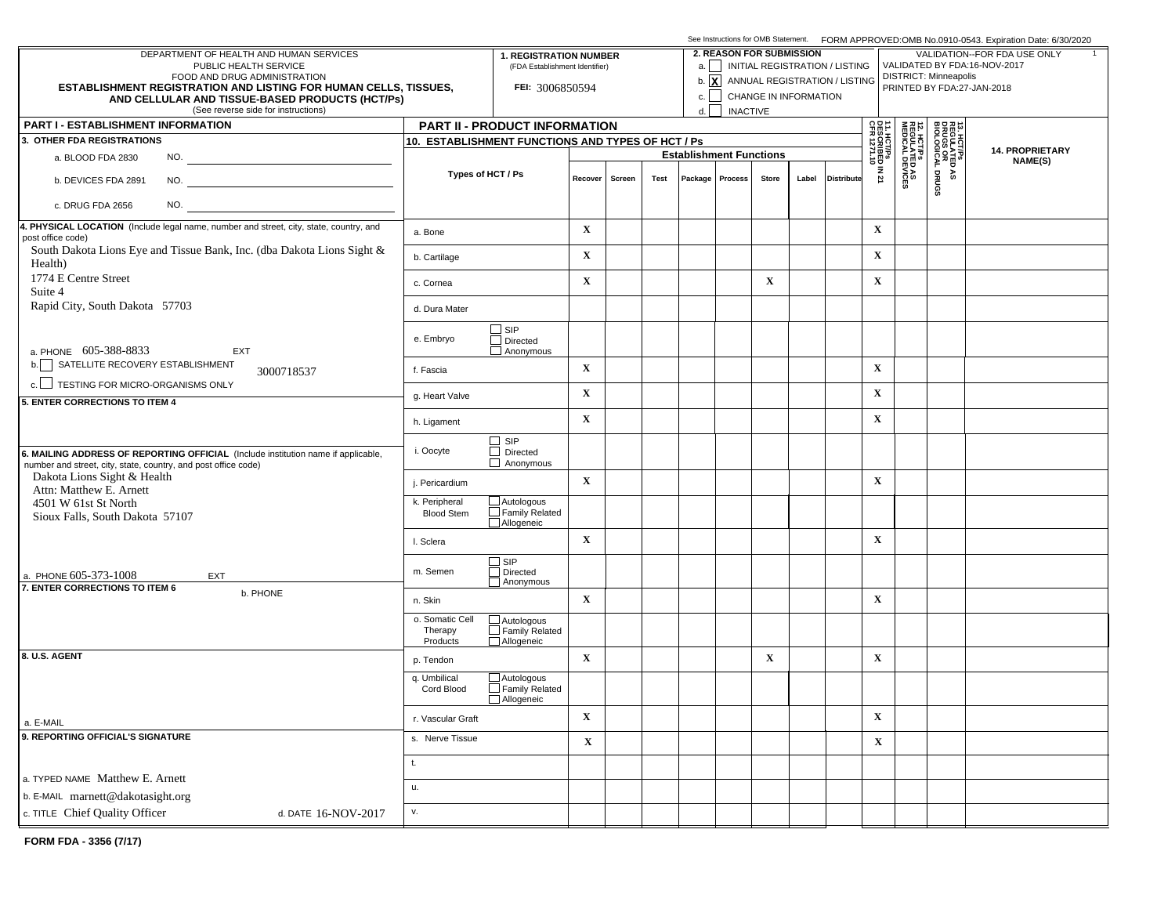|                                                                                                                                                     |                                                   | See Instructions for OMB Statement. FORM APPROVED:OMB No.0910-0543. Expiration Date: 6/30/2020 |                                |                                 |                                |       |                                       |                                                              |                                                       |                                                        |                              |  |         |  |
|-----------------------------------------------------------------------------------------------------------------------------------------------------|---------------------------------------------------|------------------------------------------------------------------------------------------------|--------------------------------|---------------------------------|--------------------------------|-------|---------------------------------------|--------------------------------------------------------------|-------------------------------------------------------|--------------------------------------------------------|------------------------------|--|---------|--|
| DEPARTMENT OF HEALTH AND HUMAN SERVICES<br>PUBLIC HEALTH SERVICE                                                                                    | <b>1. REGISTRATION NUMBER</b>                     |                                                                                                |                                | <b>2. REASON FOR SUBMISSION</b> |                                |       | a.     INITIAL REGISTRATION / LISTING | VALIDATION--FOR FDA USE ONLY<br>VALIDATED BY FDA:16-NOV-2017 |                                                       |                                                        |                              |  |         |  |
| FOOD AND DRUG ADMINISTRATION                                                                                                                        |                                                   |                                                                                                | (FDA Establishment Identifier) |                                 |                                |       |                                       |                                                              | b. $\boxed{\mathbf{X}}$ ANNUAL REGISTRATION / LISTING |                                                        | <b>DISTRICT: Minneapolis</b> |  |         |  |
| <b>ESTABLISHMENT REGISTRATION AND LISTING FOR HUMAN CELLS, TISSUES,</b><br>AND CELLULAR AND TISSUE-BASED PRODUCTS (HCT/Ps)                          |                                                   | FEI: 3006850594                                                                                |                                |                                 |                                |       |                                       | CHANGE IN INFORMATION                                        |                                                       | PRINTED BY FDA:27-JAN-2018                             |                              |  |         |  |
| (See reverse side for instructions)                                                                                                                 |                                                   | d.                                                                                             | <b>INACTIVE</b>                |                                 |                                |       |                                       |                                                              |                                                       |                                                        |                              |  |         |  |
| <b>PART I - ESTABLISHMENT INFORMATION</b>                                                                                                           |                                                   | PART II - PRODUCT INFORMATION                                                                  |                                |                                 |                                |       |                                       | 읇∺                                                           |                                                       |                                                        |                              |  |         |  |
| 3. OTHER FDA REGISTRATIONS                                                                                                                          | 10. ESTABLISHMENT FUNCTIONS AND TYPES OF HCT / Ps |                                                                                                |                                |                                 |                                |       |                                       | 13. HCT/PS<br>REGULATED<br>DRUGS OR<br>BIOLOGICAL I          | <b>14. PROPRIETARY</b>                                |                                                        |                              |  |         |  |
| NO.<br>a. BLOOD FDA 2830                                                                                                                            |                                                   |                                                                                                |                                |                                 | <b>Establishment Functions</b> |       |                                       |                                                              |                                                       |                                                        |                              |  | NAME(S) |  |
| b. DEVICES FDA 2891                                                                                                                                 | Types of HCT / Ps                                 | Recover<br>Screen                                                                              | Test                           |                                 | Package   Process              | Store | Label                                 | <b>Distribute</b>                                            | 1. HCT/Ps<br>ESCRIBED IN 21<br>FR 1271.10             | <b>12. HCT/Ps<br/>REGULATED AS<br/>MEDICAL DEVICES</b> | DRUGS<br>۵À                  |  |         |  |
| NO.<br>c. DRUG FDA 2656                                                                                                                             |                                                   |                                                                                                |                                |                                 |                                |       |                                       |                                                              |                                                       |                                                        |                              |  |         |  |
| 4. PHYSICAL LOCATION (Include legal name, number and street, city, state, country, and<br>post office code)                                         | a. Bone                                           |                                                                                                | $\mathbf X$                    |                                 |                                |       |                                       |                                                              |                                                       | $\mathbf X$                                            |                              |  |         |  |
| South Dakota Lions Eye and Tissue Bank, Inc. (dba Dakota Lions Sight &<br>Health)                                                                   | b. Cartilage                                      |                                                                                                | $\mathbf X$                    |                                 |                                |       |                                       |                                                              |                                                       | $\mathbf X$                                            |                              |  |         |  |
| 1774 E Centre Street<br>Suite 4                                                                                                                     | c. Cornea                                         |                                                                                                | $\mathbf X$                    |                                 |                                |       | $\mathbf X$                           |                                                              |                                                       | $\mathbf X$                                            |                              |  |         |  |
| Rapid City, South Dakota 57703                                                                                                                      | d. Dura Mater                                     |                                                                                                |                                |                                 |                                |       |                                       |                                                              |                                                       |                                                        |                              |  |         |  |
| a. PHONE 605-388-8833<br>EXT                                                                                                                        | e. Embryo                                         | $\square$ SIP<br>$\Box$ Directed<br>Anonymous                                                  |                                |                                 |                                |       |                                       |                                                              |                                                       |                                                        |                              |  |         |  |
| b. SATELLITE RECOVERY ESTABLISHMENT<br>3000718537                                                                                                   | f. Fascia                                         |                                                                                                | $\mathbf X$                    |                                 |                                |       |                                       |                                                              |                                                       | $\mathbf X$                                            |                              |  |         |  |
| c. TESTING FOR MICRO-ORGANISMS ONLY                                                                                                                 | g. Heart Valve                                    |                                                                                                | $\mathbf X$                    |                                 |                                |       |                                       |                                                              |                                                       | $\mathbf X$                                            |                              |  |         |  |
| 5. ENTER CORRECTIONS TO ITEM 4                                                                                                                      | h. Ligament                                       |                                                                                                | $\mathbf X$                    |                                 |                                |       |                                       |                                                              |                                                       | $\mathbf X$                                            |                              |  |         |  |
|                                                                                                                                                     |                                                   | $\Box$ SIP<br>$\Box$ Directed                                                                  |                                |                                 |                                |       |                                       |                                                              |                                                       |                                                        |                              |  |         |  |
| 6. MAILING ADDRESS OF REPORTING OFFICIAL (Include institution name if applicable,<br>number and street, city, state, country, and post office code) | i. Oocyte                                         | $\Box$ Anonymous                                                                               |                                |                                 |                                |       |                                       |                                                              |                                                       |                                                        |                              |  |         |  |
| Dakota Lions Sight & Health<br>Attn: Matthew E. Arnett                                                                                              | j. Pericardium                                    |                                                                                                | $\mathbf X$                    |                                 |                                |       |                                       |                                                              |                                                       | $\mathbf X$                                            |                              |  |         |  |
| 4501 W 61st St North<br>Sioux Falls, South Dakota 57107                                                                                             | k. Peripheral<br><b>Blood Stem</b>                | $\Box$ Autologous<br>$\Box$ Family Related<br>Allogeneic                                       |                                |                                 |                                |       |                                       |                                                              |                                                       |                                                        |                              |  |         |  |
|                                                                                                                                                     | I. Sclera                                         |                                                                                                | $\mathbf X$                    |                                 |                                |       |                                       |                                                              |                                                       | $\mathbf X$                                            |                              |  |         |  |
| a. PHONE 605-373-1008<br>EXT<br>7. ENTER CORRECTIONS TO ITEM 6                                                                                      | m. Semen                                          | $\Box$ SIP<br>Directed<br>Anonymous                                                            |                                |                                 |                                |       |                                       |                                                              |                                                       |                                                        |                              |  |         |  |
| b. PHONE                                                                                                                                            | n. Skin                                           |                                                                                                | $\mathbf X$                    |                                 |                                |       |                                       |                                                              |                                                       | $\mathbf X$                                            |                              |  |         |  |
|                                                                                                                                                     | o. Somatic Cell<br>Therapy<br>Products            | $\Box$ Autologous<br>Family Related<br>Allogeneic                                              |                                |                                 |                                |       |                                       |                                                              |                                                       |                                                        |                              |  |         |  |
| 8. U.S. AGENT                                                                                                                                       | p. Tendon                                         |                                                                                                | $\mathbf X$                    |                                 |                                |       | $\mathbf x$                           |                                                              |                                                       | $\mathbf X$                                            |                              |  |         |  |
|                                                                                                                                                     | q. Umbilical<br>Cord Blood                        | $\Box$ Autologous<br>Family Related<br>Allogeneic                                              |                                |                                 |                                |       |                                       |                                                              |                                                       |                                                        |                              |  |         |  |
| a. E-MAIL                                                                                                                                           | r. Vascular Graft                                 |                                                                                                | X                              |                                 |                                |       |                                       |                                                              |                                                       | $\mathbf X$                                            |                              |  |         |  |
| 9. REPORTING OFFICIAL'S SIGNATURE                                                                                                                   | s. Nerve Tissue                                   |                                                                                                | $\mathbf X$                    |                                 |                                |       |                                       |                                                              |                                                       | $\mathbf X$                                            |                              |  |         |  |
| a. TYPED NAME Matthew E. Arnett                                                                                                                     | t.                                                |                                                                                                |                                |                                 |                                |       |                                       |                                                              |                                                       |                                                        |                              |  |         |  |
| b. E-MAIL marnett@dakotasight.org                                                                                                                   | u.                                                |                                                                                                |                                |                                 |                                |       |                                       |                                                              |                                                       |                                                        |                              |  |         |  |
| c. TITLE Chief Quality Officer<br>d. DATE 16-NOV-2017                                                                                               | v.                                                |                                                                                                |                                |                                 |                                |       |                                       |                                                              |                                                       |                                                        |                              |  |         |  |
|                                                                                                                                                     |                                                   |                                                                                                |                                |                                 |                                |       |                                       |                                                              |                                                       |                                                        |                              |  |         |  |